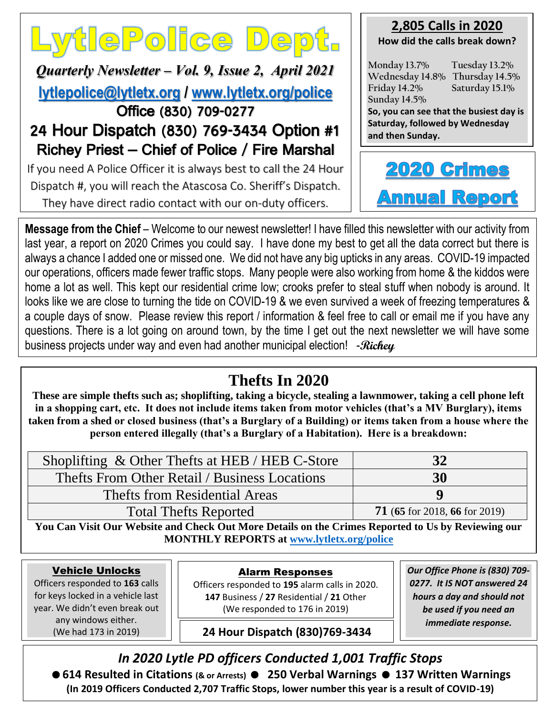# LytlePolice Dept.

*Quarterly Newsletter – Vol. 9, Issue 2, April 2021* **[lytlepolice@lytletx.org](mailto:lytlepolice@lytletx.org) / [www.lytletx.org/police](http://www.lytletx.org/police)** Office (830) 709-0277

## 24 Hour Dispatch (830) 769-3434 Option #1 Richey Priest – Chief of Police / Fire Marshal

If you need A Police Officer it is always best to call the 24 Hour Dispatch #, you will reach the Atascosa Co. Sheriff's Dispatch. They have direct radio contact with our on-duty officers.

## **2,805 Calls in 2020**

**How did the calls break down?**

**Monday 13.7% Tuesday 13.2% Wednesday 14.8% Thursday 14.5% Friday 14.2% Saturday 15.1% Sunday 14.5%**

**So, you can see that the busiest day is Saturday, followed by Wednesday and then Sunday.**



**Message from the Chief** – Welcome to our newest newsletter! I have filled this newsletter with our activity from last year, a report on 2020 Crimes you could say. I have done my best to get all the data correct but there is always a chance I added one or missed one. We did not have any big upticks in any areas. COVID-19 impacted our operations, officers made fewer traffic stops. Many people were also working from home & the kiddos were home a lot as well. This kept our residential crime low; crooks prefer to steal stuff when nobody is around. It looks like we are close to turning the tide on COVID-19 & we even survived a week of freezing temperatures & a couple days of snow. Please review this report / information & feel free to call or email me if you have any questions. There is a lot going on around town, by the time I get out the next newsletter we will have some business projects under way and even had another municipal election! -**Richey**

## **Thefts In 2020**

**These are simple thefts such as; shoplifting, taking a bicycle, stealing a lawnmower, taking a cell phone left in a shopping cart, etc. It does not include items taken from motor vehicles (that's a MV Burglary), items taken from a shed or closed business (that's a Burglary of a Building) or items taken from a house where the person entered illegally (that's a Burglary of a Habitation). Here is a breakdown:**

| Shoplifting & Other Thefts at HEB / HEB C-Store | 32                            |
|-------------------------------------------------|-------------------------------|
| Thefts From Other Retail / Business Locations   | 30                            |
| Thefts from Residential Areas                   | Q                             |
| <b>Total Thefts Reported</b>                    | 71 (65 for 2018, 66 for 2019) |

**You Can Visit Our Website and Check Out More Details on the Crimes Reported to Us by Reviewing our MONTHLY REPORTS at [www.lytletx.org/police](http://www.lytletx.org/police)**

#### Vehicle Unlocks

ׇ֞֘֡

 Officers responded to **163** calls for keys locked in a vehicle last year. We didn't even break out any windows either. (We had 173 in 2019)

Alarm Responses

Officers responded to **195** alarm calls in 2020. **147** Business / **27** Residential / **21** Other (We responded to 176 in 2019)

*Our Office Phone is (830) 709- 0277. It IS NOT answered 24 hours a day and should not be used if you need an immediate response.*

**24 Hour Dispatch (830)769-3434**

*In 2020 Lytle PD officers Conducted 1,001 Traffic Stops* **614 Resulted in Citations (& or Arrests) 250 Verbal Warnings 137 Written Warnings (In 2019 Officers Conducted 2,707 Traffic Stops, lower number this year is a result of COVID-19)**